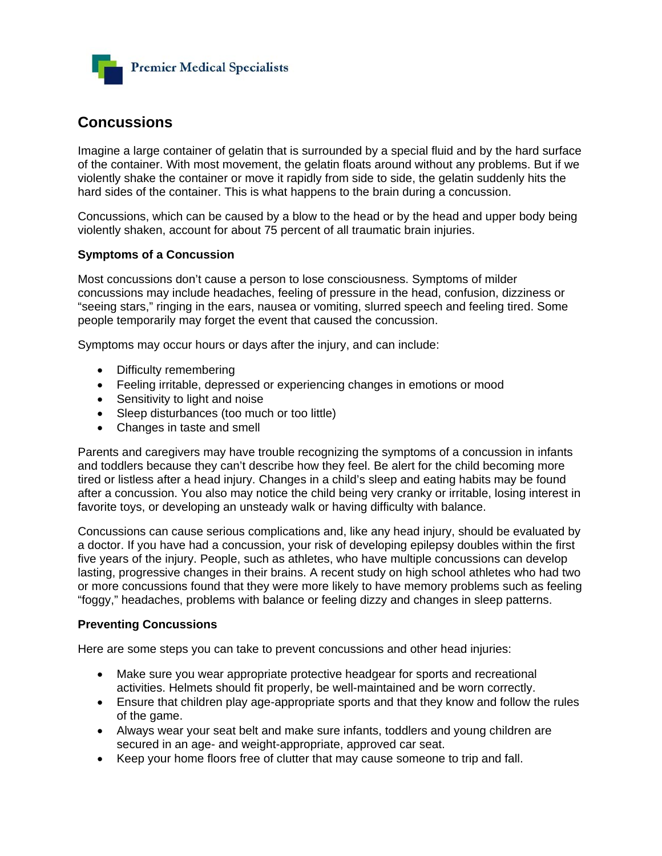

## **Concussions**

Imagine a large container of gelatin that is surrounded by a special fluid and by the hard surface of the container. With most movement, the gelatin floats around without any problems. But if we violently shake the container or move it rapidly from side to side, the gelatin suddenly hits the hard sides of the container. This is what happens to the brain during a concussion.

Concussions, which can be caused by a blow to the head or by the head and upper body being violently shaken, account for about 75 percent of all traumatic brain injuries.

## **Symptoms of a Concussion**

Most concussions don't cause a person to lose consciousness. Symptoms of milder concussions may include headaches, feeling of pressure in the head, confusion, dizziness or "seeing stars," ringing in the ears, nausea or vomiting, slurred speech and feeling tired. Some people temporarily may forget the event that caused the concussion.

Symptoms may occur hours or days after the injury, and can include:

- Difficulty remembering
- Feeling irritable, depressed or experiencing changes in emotions or mood
- Sensitivity to light and noise
- Sleep disturbances (too much or too little)
- Changes in taste and smell

Parents and caregivers may have trouble recognizing the symptoms of a concussion in infants and toddlers because they can't describe how they feel. Be alert for the child becoming more tired or listless after a head injury. Changes in a child's sleep and eating habits may be found after a concussion. You also may notice the child being very cranky or irritable, losing interest in favorite toys, or developing an unsteady walk or having difficulty with balance.

Concussions can cause serious complications and, like any head injury, should be evaluated by a doctor. If you have had a concussion, your risk of developing epilepsy doubles within the first five years of the injury. People, such as athletes, who have multiple concussions can develop lasting, progressive changes in their brains. A recent study on high school athletes who had two or more concussions found that they were more likely to have memory problems such as feeling "foggy," headaches, problems with balance or feeling dizzy and changes in sleep patterns.

## **Preventing Concussions**

Here are some steps you can take to prevent concussions and other head injuries:

- Make sure you wear appropriate protective headgear for sports and recreational activities. Helmets should fit properly, be well-maintained and be worn correctly.
- Ensure that children play age-appropriate sports and that they know and follow the rules of the game.
- Always wear your seat belt and make sure infants, toddlers and young children are secured in an age- and weight-appropriate, approved car seat.
- Keep your home floors free of clutter that may cause someone to trip and fall.